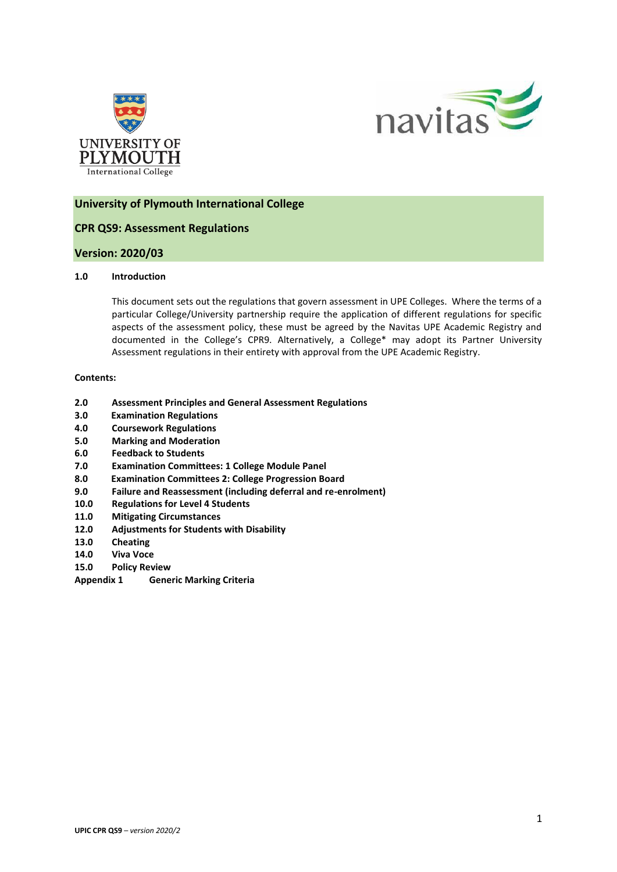



# **University of Plymouth International College**

# **CPR QS9: Assessment Regulations**

## **Version: 2020/03**

### **1.0 Introduction**

This document sets out the regulations that govern assessment in UPE Colleges. Where the terms of a particular College/University partnership require the application of different regulations for specific aspects of the assessment policy, these must be agreed by the Navitas UPE Academic Registry and documented in the College's CPR9. Alternatively, a College\* may adopt its Partner University Assessment regulations in their entirety with approval from the UPE Academic Registry.

#### **Contents:**

- **2.0 Assessment Principles and General Assessment Regulations**
- **3.0 Examination Regulations**
- **4.0 Coursework Regulations**
- **5.0 Marking and Moderation**
- **6.0 Feedback to Students**
- **7.0 Examination Committees: 1 College Module Panel**
- **8.0 Examination Committees 2: College Progression Board**
- **9.0 Failure and Reassessment (including deferral and re-enrolment)**
- **10.0 Regulations for Level 4 Students**
- **11.0 Mitigating Circumstances**
- **12.0 Adjustments for Students with Disability**
- **13.0 Cheating**
- **14.0 Viva Voce**
- **15.0 Policy Review**
- **Appendix 1 Generic Marking Criteria**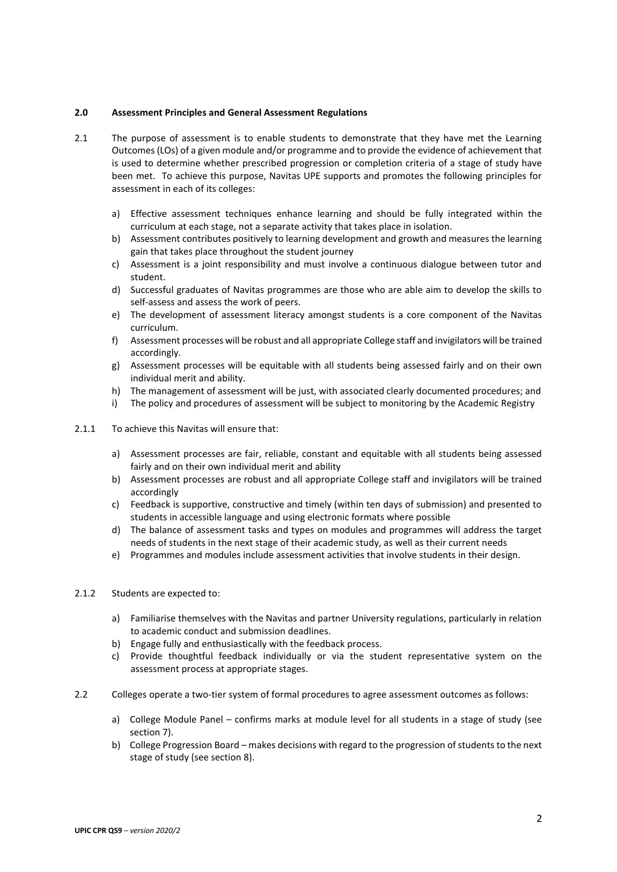### **2.0 Assessment Principles and General Assessment Regulations**

- 2.1 The purpose of assessment is to enable students to demonstrate that they have met the Learning Outcomes (LOs) of a given module and/or programme and to provide the evidence of achievement that is used to determine whether prescribed progression or completion criteria of a stage of study have been met. To achieve this purpose, Navitas UPE supports and promotes the following principles for assessment in each of its colleges:
	- a) Effective assessment techniques enhance learning and should be fully integrated within the curriculum at each stage, not a separate activity that takes place in isolation.
	- b) Assessment contributes positively to learning development and growth and measures the learning gain that takes place throughout the student journey
	- c) Assessment is a joint responsibility and must involve a continuous dialogue between tutor and student.
	- d) Successful graduates of Navitas programmes are those who are able aim to develop the skills to self-assess and assess the work of peers.
	- e) The development of assessment literacy amongst students is a core component of the Navitas curriculum.
	- f) Assessment processes will be robust and all appropriate College staff and invigilators will be trained accordingly.
	- g) Assessment processes will be equitable with all students being assessed fairly and on their own individual merit and ability.
	- h) The management of assessment will be just, with associated clearly documented procedures; and
	- i) The policy and procedures of assessment will be subject to monitoring by the Academic Registry
- 2.1.1 To achieve this Navitas will ensure that:
	- a) Assessment processes are fair, reliable, constant and equitable with all students being assessed fairly and on their own individual merit and ability
	- b) Assessment processes are robust and all appropriate College staff and invigilators will be trained accordingly
	- c) Feedback is supportive, constructive and timely (within ten days of submission) and presented to students in accessible language and using electronic formats where possible
	- d) The balance of assessment tasks and types on modules and programmes will address the target needs of students in the next stage of their academic study, as well as their current needs
	- e) Programmes and modules include assessment activities that involve students in their design.
- 2.1.2 Students are expected to:
	- a) Familiarise themselves with the Navitas and partner University regulations, particularly in relation to academic conduct and submission deadlines.
	- b) Engage fully and enthusiastically with the feedback process.
	- c) Provide thoughtful feedback individually or via the student representative system on the assessment process at appropriate stages.
- 2.2 Colleges operate a two-tier system of formal procedures to agree assessment outcomes as follows:
	- a) College Module Panel confirms marks at module level for all students in a stage of study (see section 7).
	- b) College Progression Board makes decisions with regard to the progression of students to the next stage of study (see section 8).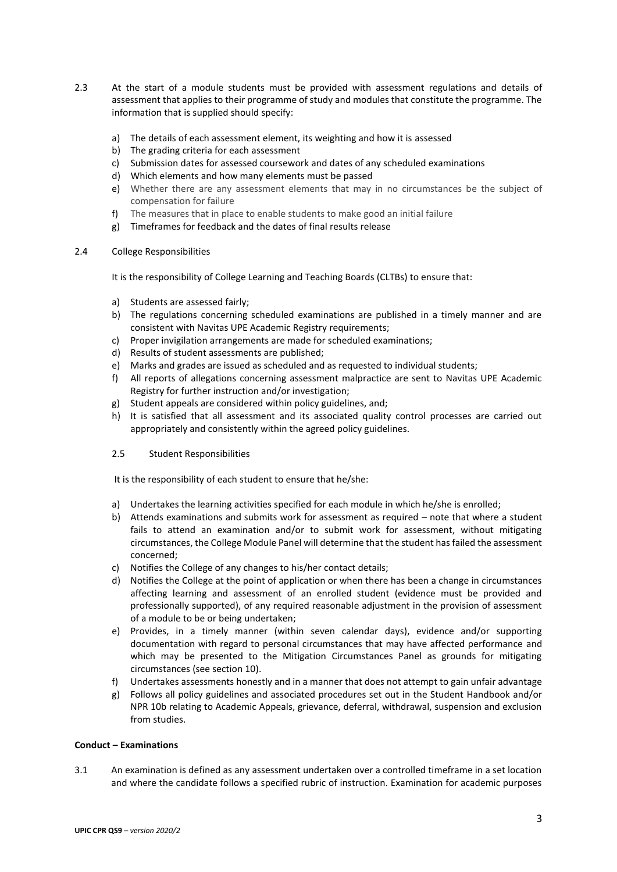- 2.3 At the start of a module students must be provided with assessment regulations and details of assessment that applies to their programme of study and modules that constitute the programme. The information that is supplied should specify:
	- a) The details of each assessment element, its weighting and how it is assessed
	- b) The grading criteria for each assessment
	- c) Submission dates for assessed coursework and dates of any scheduled examinations
	- d) Which elements and how many elements must be passed
	- e) Whether there are any assessment elements that may in no circumstances be the subject of compensation for failure
	- f) The measures that in place to enable students to make good an initial failure
	- g) Timeframes for feedback and the dates of final results release

#### 2.4 College Responsibilities

It is the responsibility of College Learning and Teaching Boards (CLTBs) to ensure that:

- a) Students are assessed fairly;
- b) The regulations concerning scheduled examinations are published in a timely manner and are consistent with Navitas UPE Academic Registry requirements;
- c) Proper invigilation arrangements are made for scheduled examinations;
- d) Results of student assessments are published;
- e) Marks and grades are issued as scheduled and as requested to individual students;
- f) All reports of allegations concerning assessment malpractice are sent to Navitas UPE Academic Registry for further instruction and/or investigation;
- g) Student appeals are considered within policy guidelines, and;
- h) It is satisfied that all assessment and its associated quality control processes are carried out appropriately and consistently within the agreed policy guidelines.
- 2.5 Student Responsibilities

It is the responsibility of each student to ensure that he/she:

- a) Undertakes the learning activities specified for each module in which he/she is enrolled;
- b) Attends examinations and submits work for assessment as required note that where a student fails to attend an examination and/or to submit work for assessment, without mitigating circumstances, the College Module Panel will determine that the student has failed the assessment concerned;
- c) Notifies the College of any changes to his/her contact details;
- d) Notifies the College at the point of application or when there has been a change in circumstances affecting learning and assessment of an enrolled student (evidence must be provided and professionally supported), of any required reasonable adjustment in the provision of assessment of a module to be or being undertaken;
- e) Provides, in a timely manner (within seven calendar days), evidence and/or supporting documentation with regard to personal circumstances that may have affected performance and which may be presented to the Mitigation Circumstances Panel as grounds for mitigating circumstances (see section 10).
- f) Undertakes assessments honestly and in a manner that does not attempt to gain unfair advantage
- g) Follows all policy guidelines and associated procedures set out in the Student Handbook and/or NPR 10b relating to Academic Appeals, grievance, deferral, withdrawal, suspension and exclusion from studies.

### **Conduct – Examinations**

3.1 An examination is defined as any assessment undertaken over a controlled timeframe in a set location and where the candidate follows a specified rubric of instruction. Examination for academic purposes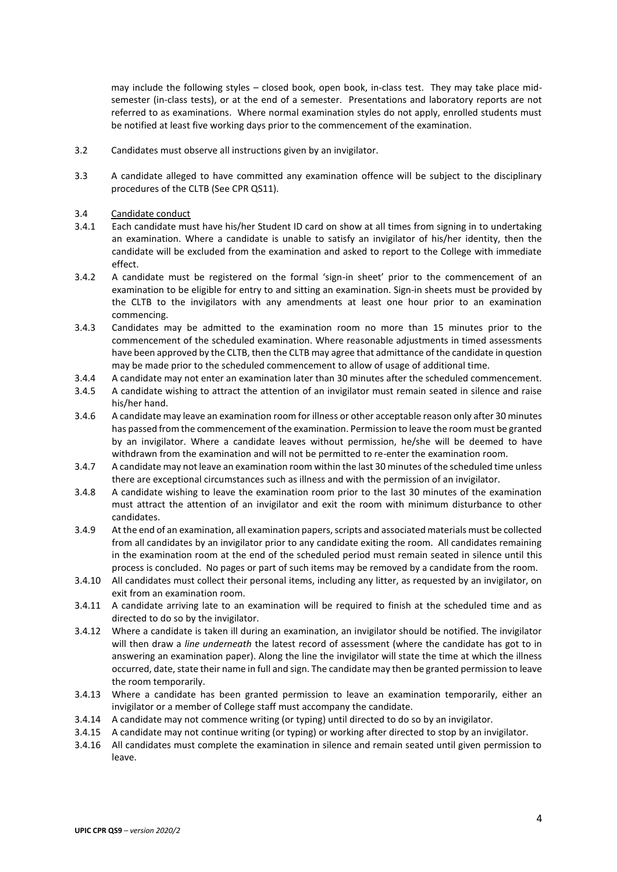may include the following styles – closed book, open book, in-class test. They may take place midsemester (in-class tests), or at the end of a semester. Presentations and laboratory reports are not referred to as examinations. Where normal examination styles do not apply, enrolled students must be notified at least five working days prior to the commencement of the examination.

- 3.2 Candidates must observe all instructions given by an invigilator.
- 3.3 A candidate alleged to have committed any examination offence will be subject to the disciplinary procedures of the CLTB (See CPR QS11).
- 3.4 Candidate conduct
- 3.4.1 Each candidate must have his/her Student ID card on show at all times from signing in to undertaking an examination. Where a candidate is unable to satisfy an invigilator of his/her identity, then the candidate will be excluded from the examination and asked to report to the College with immediate effect.
- 3.4.2 A candidate must be registered on the formal 'sign-in sheet' prior to the commencement of an examination to be eligible for entry to and sitting an examination. Sign-in sheets must be provided by the CLTB to the invigilators with any amendments at least one hour prior to an examination commencing.
- 3.4.3 Candidates may be admitted to the examination room no more than 15 minutes prior to the commencement of the scheduled examination. Where reasonable adjustments in timed assessments have been approved by the CLTB, then the CLTB may agree that admittance of the candidate in question may be made prior to the scheduled commencement to allow of usage of additional time.
- 3.4.4 A candidate may not enter an examination later than 30 minutes after the scheduled commencement.
- 3.4.5 A candidate wishing to attract the attention of an invigilator must remain seated in silence and raise his/her hand.
- 3.4.6 A candidate may leave an examination room for illness or other acceptable reason only after 30 minutes has passed from the commencement of the examination. Permission to leave the room must be granted by an invigilator. Where a candidate leaves without permission, he/she will be deemed to have withdrawn from the examination and will not be permitted to re-enter the examination room.
- 3.4.7 A candidate may not leave an examination room within the last 30 minutes of the scheduled time unless there are exceptional circumstances such as illness and with the permission of an invigilator.
- 3.4.8 A candidate wishing to leave the examination room prior to the last 30 minutes of the examination must attract the attention of an invigilator and exit the room with minimum disturbance to other candidates.
- 3.4.9 At the end of an examination, all examination papers, scripts and associated materials must be collected from all candidates by an invigilator prior to any candidate exiting the room. All candidates remaining in the examination room at the end of the scheduled period must remain seated in silence until this process is concluded. No pages or part of such items may be removed by a candidate from the room.
- 3.4.10 All candidates must collect their personal items, including any litter, as requested by an invigilator, on exit from an examination room.
- 3.4.11 A candidate arriving late to an examination will be required to finish at the scheduled time and as directed to do so by the invigilator.
- 3.4.12 Where a candidate is taken ill during an examination, an invigilator should be notified. The invigilator will then draw a *line underneath* the latest record of assessment (where the candidate has got to in answering an examination paper). Along the line the invigilator will state the time at which the illness occurred, date, state their name in full and sign. The candidate may then be granted permission to leave the room temporarily.
- 3.4.13 Where a candidate has been granted permission to leave an examination temporarily, either an invigilator or a member of College staff must accompany the candidate.
- 3.4.14 A candidate may not commence writing (or typing) until directed to do so by an invigilator.
- 3.4.15 A candidate may not continue writing (or typing) or working after directed to stop by an invigilator.
- 3.4.16 All candidates must complete the examination in silence and remain seated until given permission to leave.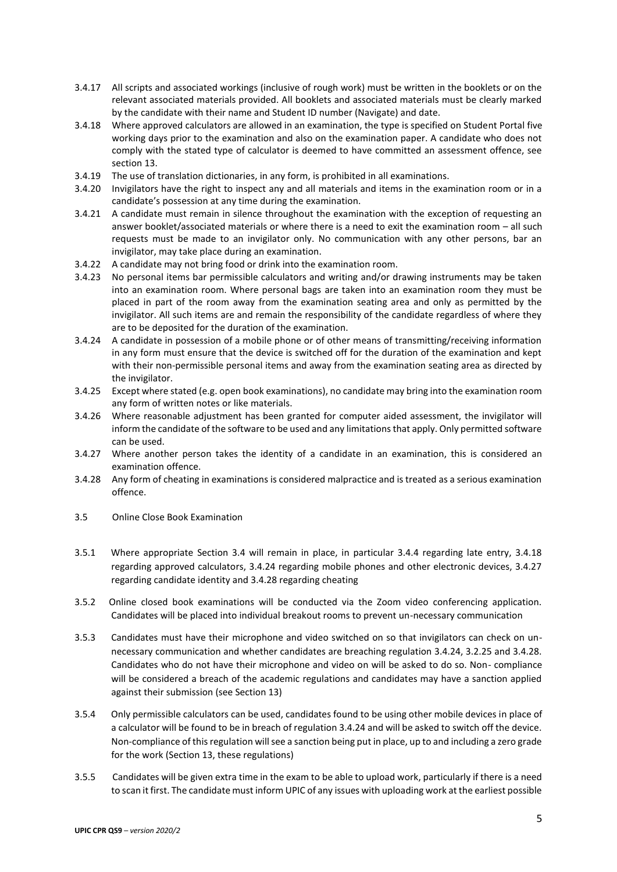- 3.4.17 All scripts and associated workings (inclusive of rough work) must be written in the booklets or on the relevant associated materials provided. All booklets and associated materials must be clearly marked by the candidate with their name and Student ID number (Navigate) and date.
- 3.4.18 Where approved calculators are allowed in an examination, the type is specified on Student Portal five working days prior to the examination and also on the examination paper. A candidate who does not comply with the stated type of calculator is deemed to have committed an assessment offence, see section 13.
- 3.4.19 The use of translation dictionaries, in any form, is prohibited in all examinations.
- 3.4.20 Invigilators have the right to inspect any and all materials and items in the examination room or in a candidate's possession at any time during the examination.
- 3.4.21 A candidate must remain in silence throughout the examination with the exception of requesting an answer booklet/associated materials or where there is a need to exit the examination room – all such requests must be made to an invigilator only. No communication with any other persons, bar an invigilator, may take place during an examination.
- 3.4.22 A candidate may not bring food or drink into the examination room.
- 3.4.23 No personal items bar permissible calculators and writing and/or drawing instruments may be taken into an examination room. Where personal bags are taken into an examination room they must be placed in part of the room away from the examination seating area and only as permitted by the invigilator. All such items are and remain the responsibility of the candidate regardless of where they are to be deposited for the duration of the examination.
- 3.4.24 A candidate in possession of a mobile phone or of other means of transmitting/receiving information in any form must ensure that the device is switched off for the duration of the examination and kept with their non-permissible personal items and away from the examination seating area as directed by the invigilator.
- 3.4.25 Except where stated (e.g. open book examinations), no candidate may bring into the examination room any form of written notes or like materials.
- 3.4.26 Where reasonable adjustment has been granted for computer aided assessment, the invigilator will inform the candidate of the software to be used and any limitations that apply. Only permitted software can be used.
- 3.4.27 Where another person takes the identity of a candidate in an examination, this is considered an examination offence.
- 3.4.28 Any form of cheating in examinations is considered malpractice and is treated as a serious examination offence.
- 3.5 Online Close Book Examination
- 3.5.1 Where appropriate Section 3.4 will remain in place, in particular 3.4.4 regarding late entry, 3.4.18 regarding approved calculators, 3.4.24 regarding mobile phones and other electronic devices, 3.4.27 regarding candidate identity and 3.4.28 regarding cheating
- 3.5.2 Online closed book examinations will be conducted via the Zoom video conferencing application. Candidates will be placed into individual breakout rooms to prevent un-necessary communication
- 3.5.3 Candidates must have their microphone and video switched on so that invigilators can check on unnecessary communication and whether candidates are breaching regulation 3.4.24, 3.2.25 and 3.4.28. Candidates who do not have their microphone and video on will be asked to do so. Non- compliance will be considered a breach of the academic regulations and candidates may have a sanction applied against their submission (see Section 13)
- 3.5.4 Only permissible calculators can be used, candidates found to be using other mobile devices in place of a calculator will be found to be in breach of regulation 3.4.24 and will be asked to switch off the device. Non-compliance of this regulation will see a sanction being put in place, up to and including a zero grade for the work (Section 13, these regulations)
- 3.5.5 Candidates will be given extra time in the exam to be able to upload work, particularly if there is a need to scan it first. The candidate must inform UPIC of any issues with uploading work at the earliest possible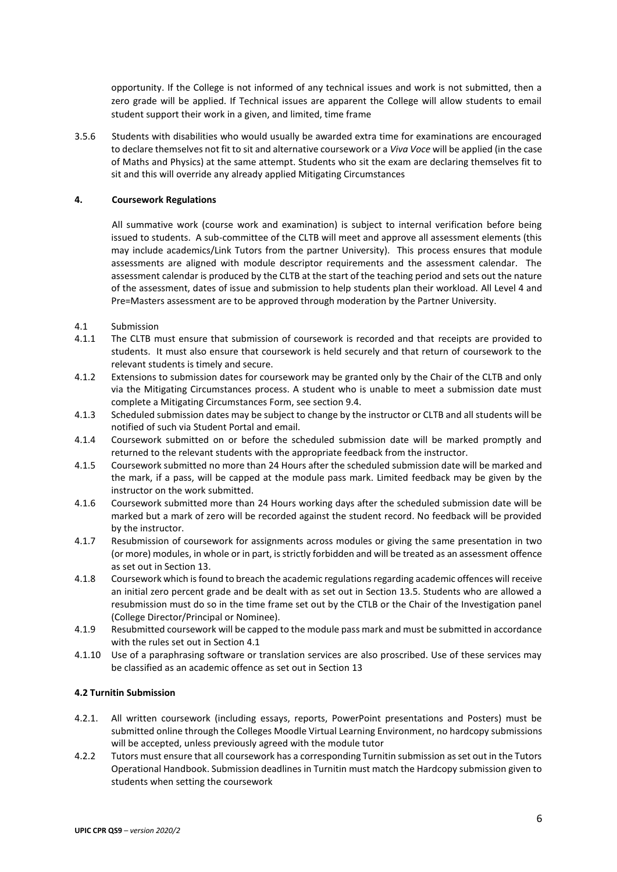opportunity. If the College is not informed of any technical issues and work is not submitted, then a zero grade will be applied. If Technical issues are apparent the College will allow students to email student support their work in a given, and limited, time frame

3.5.6 Students with disabilities who would usually be awarded extra time for examinations are encouraged to declare themselves not fit to sit and alternative coursework or a *Viva Voce* will be applied (in the case of Maths and Physics) at the same attempt. Students who sit the exam are declaring themselves fit to sit and this will override any already applied Mitigating Circumstances

### **4. Coursework Regulations**

All summative work (course work and examination) is subject to internal verification before being issued to students. A sub-committee of the CLTB will meet and approve all assessment elements (this may include academics/Link Tutors from the partner University). This process ensures that module assessments are aligned with module descriptor requirements and the assessment calendar. The assessment calendar is produced by the CLTB at the start of the teaching period and sets out the nature of the assessment, dates of issue and submission to help students plan their workload. All Level 4 and Pre=Masters assessment are to be approved through moderation by the Partner University.

- 4.1 Submission
- 4.1.1 The CLTB must ensure that submission of coursework is recorded and that receipts are provided to students. It must also ensure that coursework is held securely and that return of coursework to the relevant students is timely and secure.
- 4.1.2 Extensions to submission dates for coursework may be granted only by the Chair of the CLTB and only via the Mitigating Circumstances process. A student who is unable to meet a submission date must complete a Mitigating Circumstances Form, see section 9.4.
- 4.1.3 Scheduled submission dates may be subject to change by the instructor or CLTB and all students will be notified of such via Student Portal and email.
- 4.1.4 Coursework submitted on or before the scheduled submission date will be marked promptly and returned to the relevant students with the appropriate feedback from the instructor.
- 4.1.5 Coursework submitted no more than 24 Hours after the scheduled submission date will be marked and the mark, if a pass, will be capped at the module pass mark. Limited feedback may be given by the instructor on the work submitted.
- 4.1.6 Coursework submitted more than 24 Hours working days after the scheduled submission date will be marked but a mark of zero will be recorded against the student record. No feedback will be provided by the instructor.
- 4.1.7 Resubmission of coursework for assignments across modules or giving the same presentation in two (or more) modules, in whole or in part, is strictly forbidden and will be treated as an assessment offence as set out in Section 13.
- 4.1.8 Coursework which is found to breach the academic regulations regarding academic offences will receive an initial zero percent grade and be dealt with as set out in Section 13.5. Students who are allowed a resubmission must do so in the time frame set out by the CTLB or the Chair of the Investigation panel (College Director/Principal or Nominee).
- 4.1.9 Resubmitted coursework will be capped to the module pass mark and must be submitted in accordance with the rules set out in Section 4.1
- 4.1.10 Use of a paraphrasing software or translation services are also proscribed. Use of these services may be classified as an academic offence as set out in Section 13

## **4.2 Turnitin Submission**

- 4.2.1. All written coursework (including essays, reports, PowerPoint presentations and Posters) must be submitted online through the Colleges Moodle Virtual Learning Environment, no hardcopy submissions will be accepted, unless previously agreed with the module tutor
- 4.2.2 Tutors must ensure that all coursework has a corresponding Turnitin submission as set out in the Tutors Operational Handbook. Submission deadlines in Turnitin must match the Hardcopy submission given to students when setting the coursework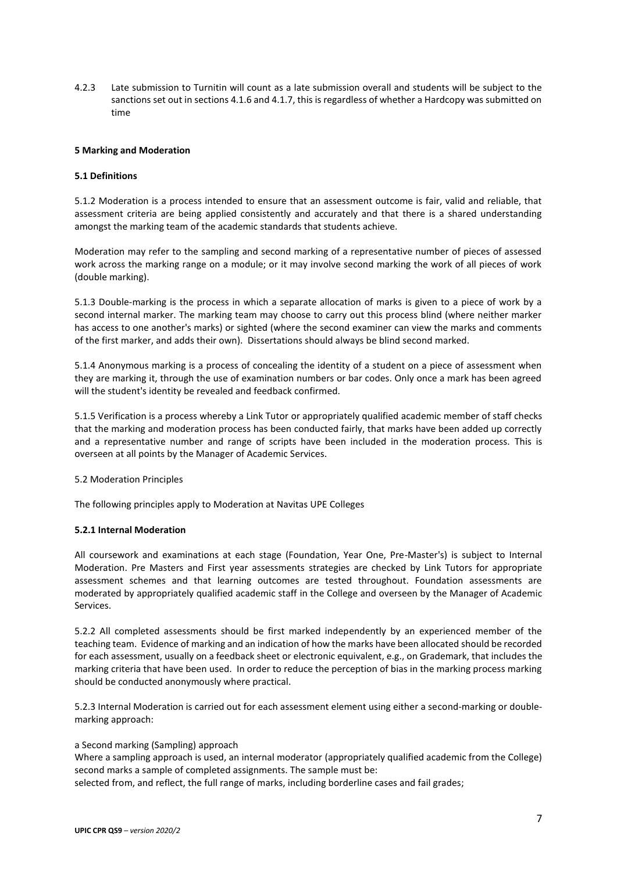4.2.3 Late submission to Turnitin will count as a late submission overall and students will be subject to the sanctions set out in sections 4.1.6 and 4.1.7, this is regardless of whether a Hardcopy was submitted on time

#### **5 Marking and Moderation**

### **5.1 Definitions**

5.1.2 Moderation is a process intended to ensure that an assessment outcome is fair, valid and reliable, that assessment criteria are being applied consistently and accurately and that there is a shared understanding amongst the marking team of the academic standards that students achieve.

Moderation may refer to the sampling and second marking of a representative number of pieces of assessed work across the marking range on a module; or it may involve second marking the work of all pieces of work (double marking).

5.1.3 Double-marking is the process in which a separate allocation of marks is given to a piece of work by a second internal marker. The marking team may choose to carry out this process blind (where neither marker has access to one another's marks) or sighted (where the second examiner can view the marks and comments of the first marker, and adds their own). Dissertations should always be blind second marked.

5.1.4 Anonymous marking is a process of concealing the identity of a student on a piece of assessment when they are marking it, through the use of examination numbers or bar codes. Only once a mark has been agreed will the student's identity be revealed and feedback confirmed.

5.1.5 Verification is a process whereby a Link Tutor or appropriately qualified academic member of staff checks that the marking and moderation process has been conducted fairly, that marks have been added up correctly and a representative number and range of scripts have been included in the moderation process. This is overseen at all points by the Manager of Academic Services.

#### 5.2 Moderation Principles

The following principles apply to Moderation at Navitas UPE Colleges

## **5.2.1 Internal Moderation**

All coursework and examinations at each stage (Foundation, Year One, Pre-Master's) is subject to Internal Moderation. Pre Masters and First year assessments strategies are checked by Link Tutors for appropriate assessment schemes and that learning outcomes are tested throughout. Foundation assessments are moderated by appropriately qualified academic staff in the College and overseen by the Manager of Academic Services.

5.2.2 All completed assessments should be first marked independently by an experienced member of the teaching team. Evidence of marking and an indication of how the marks have been allocated should be recorded for each assessment, usually on a feedback sheet or electronic equivalent, e.g., on Grademark, that includes the marking criteria that have been used. In order to reduce the perception of bias in the marking process marking should be conducted anonymously where practical.

5.2.3 Internal Moderation is carried out for each assessment element using either a second-marking or doublemarking approach:

#### a Second marking (Sampling) approach

Where a sampling approach is used, an internal moderator (appropriately qualified academic from the College) second marks a sample of completed assignments. The sample must be:

selected from, and reflect, the full range of marks, including borderline cases and fail grades;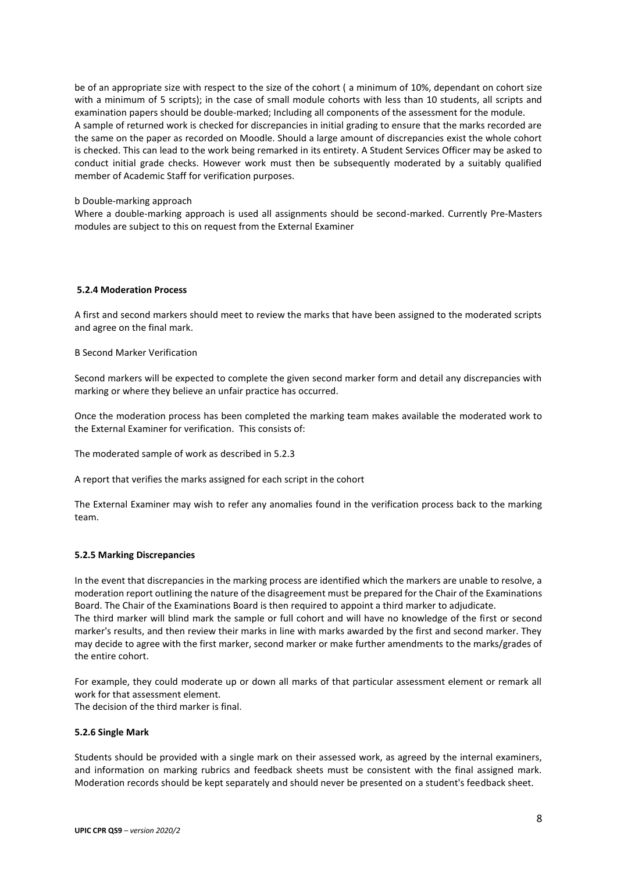be of an appropriate size with respect to the size of the cohort ( a minimum of 10%, dependant on cohort size with a minimum of 5 scripts); in the case of small module cohorts with less than 10 students, all scripts and examination papers should be double-marked; Including all components of the assessment for the module. A sample of returned work is checked for discrepancies in initial grading to ensure that the marks recorded are the same on the paper as recorded on Moodle. Should a large amount of discrepancies exist the whole cohort is checked. This can lead to the work being remarked in its entirety. A Student Services Officer may be asked to conduct initial grade checks. However work must then be subsequently moderated by a suitably qualified member of Academic Staff for verification purposes.

#### b Double-marking approach

Where a double-marking approach is used all assignments should be second-marked. Currently Pre-Masters modules are subject to this on request from the External Examiner

### **5.2.4 Moderation Process**

A first and second markers should meet to review the marks that have been assigned to the moderated scripts and agree on the final mark.

B Second Marker Verification

Second markers will be expected to complete the given second marker form and detail any discrepancies with marking or where they believe an unfair practice has occurred.

Once the moderation process has been completed the marking team makes available the moderated work to the External Examiner for verification. This consists of:

The moderated sample of work as described in 5.2.3

A report that verifies the marks assigned for each script in the cohort

The External Examiner may wish to refer any anomalies found in the verification process back to the marking team.

#### **5.2.5 Marking Discrepancies**

In the event that discrepancies in the marking process are identified which the markers are unable to resolve, a moderation report outlining the nature of the disagreement must be prepared for the Chair of the Examinations Board. The Chair of the Examinations Board is then required to appoint a third marker to adjudicate. The third marker will blind mark the sample or full cohort and will have no knowledge of the first or second marker's results, and then review their marks in line with marks awarded by the first and second marker. They may decide to agree with the first marker, second marker or make further amendments to the marks/grades of the entire cohort.

For example, they could moderate up or down all marks of that particular assessment element or remark all work for that assessment element. The decision of the third marker is final.

#### **5.2.6 Single Mark**

Students should be provided with a single mark on their assessed work, as agreed by the internal examiners, and information on marking rubrics and feedback sheets must be consistent with the final assigned mark. Moderation records should be kept separately and should never be presented on a student's feedback sheet.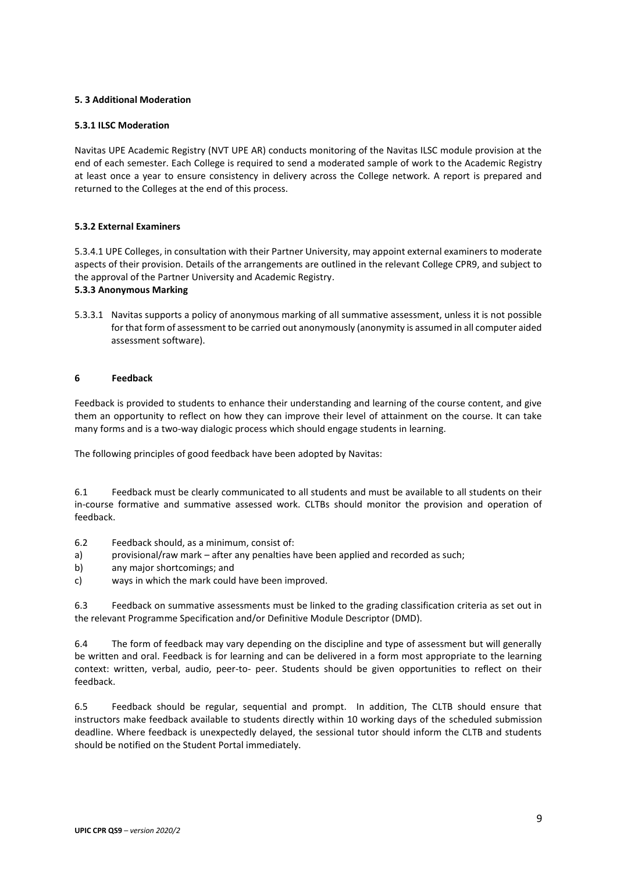## **5. 3 Additional Moderation**

## **5.3.1 ILSC Moderation**

Navitas UPE Academic Registry (NVT UPE AR) conducts monitoring of the Navitas ILSC module provision at the end of each semester. Each College is required to send a moderated sample of work to the Academic Registry at least once a year to ensure consistency in delivery across the College network. A report is prepared and returned to the Colleges at the end of this process.

## **5.3.2 External Examiners**

5.3.4.1 UPE Colleges, in consultation with their Partner University, may appoint external examiners to moderate aspects of their provision. Details of the arrangements are outlined in the relevant College CPR9, and subject to the approval of the Partner University and Academic Registry.

## **5.3.3 Anonymous Marking**

5.3.3.1 Navitas supports a policy of anonymous marking of all summative assessment, unless it is not possible for that form of assessment to be carried out anonymously (anonymity is assumed in all computer aided assessment software).

## **6 Feedback**

Feedback is provided to students to enhance their understanding and learning of the course content, and give them an opportunity to reflect on how they can improve their level of attainment on the course. It can take many forms and is a two-way dialogic process which should engage students in learning.

The following principles of good feedback have been adopted by Navitas:

6.1 Feedback must be clearly communicated to all students and must be available to all students on their in-course formative and summative assessed work. CLTBs should monitor the provision and operation of feedback.

- 6.2 Feedback should, as a minimum, consist of:
- a) provisional/raw mark after any penalties have been applied and recorded as such;
- b) any major shortcomings; and
- c) ways in which the mark could have been improved.

6.3 Feedback on summative assessments must be linked to the grading classification criteria as set out in the relevant Programme Specification and/or Definitive Module Descriptor (DMD).

6.4 The form of feedback may vary depending on the discipline and type of assessment but will generally be written and oral. Feedback is for learning and can be delivered in a form most appropriate to the learning context: written, verbal, audio, peer-to- peer. Students should be given opportunities to reflect on their feedback.

6.5 Feedback should be regular, sequential and prompt. In addition, The CLTB should ensure that instructors make feedback available to students directly within 10 working days of the scheduled submission deadline. Where feedback is unexpectedly delayed, the sessional tutor should inform the CLTB and students should be notified on the Student Portal immediately.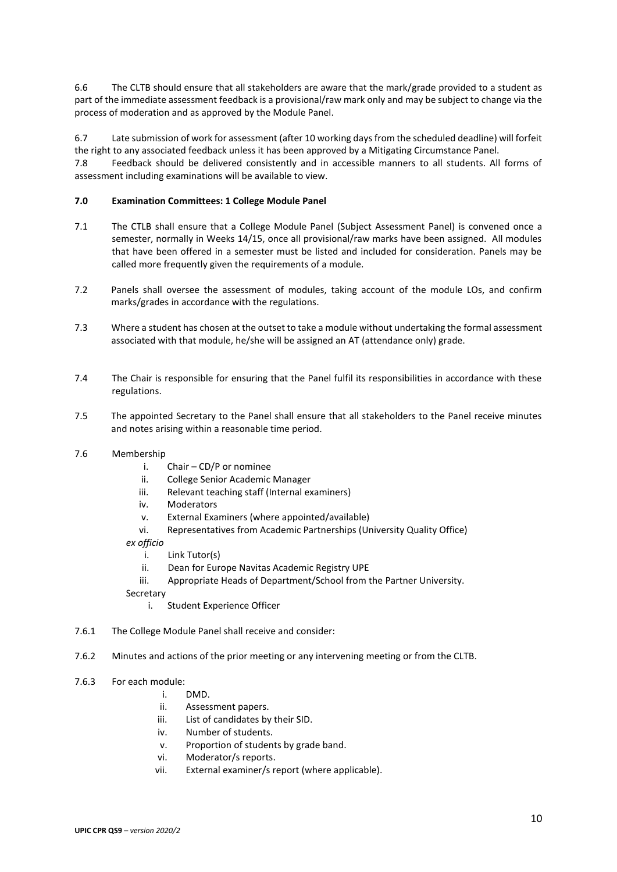6.6 The CLTB should ensure that all stakeholders are aware that the mark/grade provided to a student as part of the immediate assessment feedback is a provisional/raw mark only and may be subject to change via the process of moderation and as approved by the Module Panel.

6.7 Late submission of work for assessment (after 10 working days from the scheduled deadline) will forfeit the right to any associated feedback unless it has been approved by a Mitigating Circumstance Panel.

7.8 Feedback should be delivered consistently and in accessible manners to all students. All forms of assessment including examinations will be available to view.

### **7.0 Examination Committees: 1 College Module Panel**

- 7.1 The CTLB shall ensure that a College Module Panel (Subject Assessment Panel) is convened once a semester, normally in Weeks 14/15, once all provisional/raw marks have been assigned. All modules that have been offered in a semester must be listed and included for consideration. Panels may be called more frequently given the requirements of a module.
- 7.2 Panels shall oversee the assessment of modules, taking account of the module LOs, and confirm marks/grades in accordance with the regulations.
- 7.3 Where a student has chosen at the outset to take a module without undertaking the formal assessment associated with that module, he/she will be assigned an AT (attendance only) grade.
- 7.4 The Chair is responsible for ensuring that the Panel fulfil its responsibilities in accordance with these regulations.
- 7.5 The appointed Secretary to the Panel shall ensure that all stakeholders to the Panel receive minutes and notes arising within a reasonable time period.
- 7.6 Membership
	- i. Chair CD/P or nominee
	- ii. College Senior Academic Manager
	- iii. Relevant teaching staff (Internal examiners)
	- iv. Moderators
	- v. External Examiners (where appointed/available)
	- vi. Representatives from Academic Partnerships (University Quality Office)
	- *ex officio*
		- i. Link Tutor(s)
		- ii. Dean for Europe Navitas Academic Registry UPE
		- iii. Appropriate Heads of Department/School from the Partner University.

Secretary

- i. Student Experience Officer
- 7.6.1 The College Module Panel shall receive and consider:
- 7.6.2 Minutes and actions of the prior meeting or any intervening meeting or from the CLTB.
- 7.6.3 For each module:
	- i. DMD.
	- ii. Assessment papers.
	- iii. List of candidates by their SID.
	- iv. Number of students.
	- v. Proportion of students by grade band.
	- vi. Moderator/s reports.
	- vii. External examiner/s report (where applicable).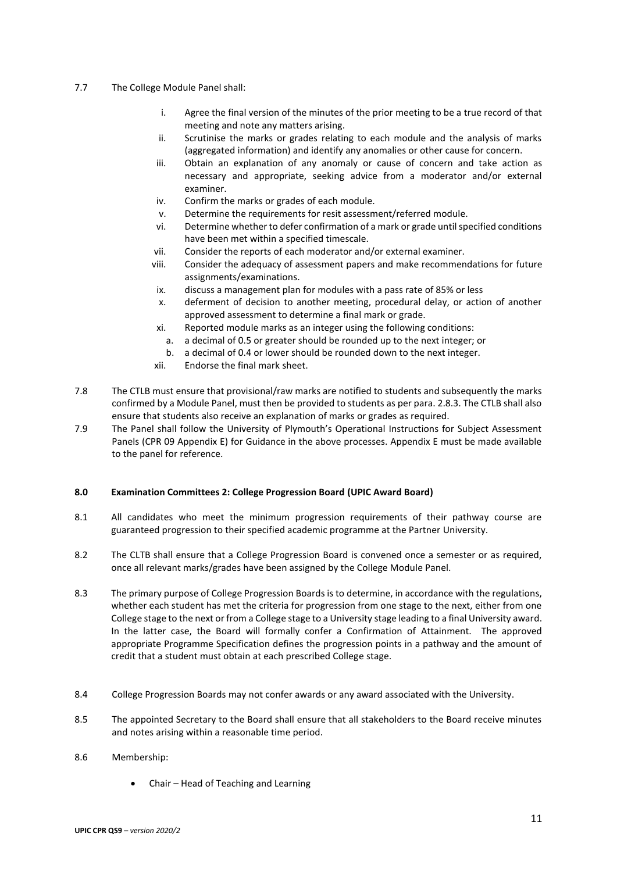- 7.7 The College Module Panel shall:
	- i. Agree the final version of the minutes of the prior meeting to be a true record of that meeting and note any matters arising.
	- ii. Scrutinise the marks or grades relating to each module and the analysis of marks (aggregated information) and identify any anomalies or other cause for concern.
	- iii. Obtain an explanation of any anomaly or cause of concern and take action as necessary and appropriate, seeking advice from a moderator and/or external examiner.
	- iv. Confirm the marks or grades of each module.
	- v. Determine the requirements for resit assessment/referred module.
	- vi. Determine whether to defer confirmation of a mark or grade until specified conditions have been met within a specified timescale.
	- vii. Consider the reports of each moderator and/or external examiner.
	- viii. Consider the adequacy of assessment papers and make recommendations for future assignments/examinations.
	- ix. discuss a management plan for modules with a pass rate of 85% or less
	- x. deferment of decision to another meeting, procedural delay, or action of another approved assessment to determine a final mark or grade.
	- xi. Reported module marks as an integer using the following conditions:
		- a. a decimal of 0.5 or greater should be rounded up to the next integer; or
		- b. a decimal of 0.4 or lower should be rounded down to the next integer.
	- xii. Endorse the final mark sheet.
- 7.8 The CTLB must ensure that provisional/raw marks are notified to students and subsequently the marks confirmed by a Module Panel, must then be provided to students as per para. 2.8.3. The CTLB shall also ensure that students also receive an explanation of marks or grades as required.
- 7.9 The Panel shall follow the University of Plymouth's Operational Instructions for Subject Assessment Panels (CPR 09 Appendix E) for Guidance in the above processes. Appendix E must be made available to the panel for reference.

## **8.0 Examination Committees 2: College Progression Board (UPIC Award Board)**

- 8.1 All candidates who meet the minimum progression requirements of their pathway course are guaranteed progression to their specified academic programme at the Partner University.
- 8.2 The CLTB shall ensure that a College Progression Board is convened once a semester or as required, once all relevant marks/grades have been assigned by the College Module Panel.
- 8.3 The primary purpose of College Progression Boards is to determine, in accordance with the regulations, whether each student has met the criteria for progression from one stage to the next, either from one College stage to the next or from a College stage to a University stage leading to a final University award. In the latter case, the Board will formally confer a Confirmation of Attainment. The approved appropriate Programme Specification defines the progression points in a pathway and the amount of credit that a student must obtain at each prescribed College stage.
- 8.4 College Progression Boards may not confer awards or any award associated with the University.
- 8.5 The appointed Secretary to the Board shall ensure that all stakeholders to the Board receive minutes and notes arising within a reasonable time period.

## 8.6 Membership:

• Chair – Head of Teaching and Learning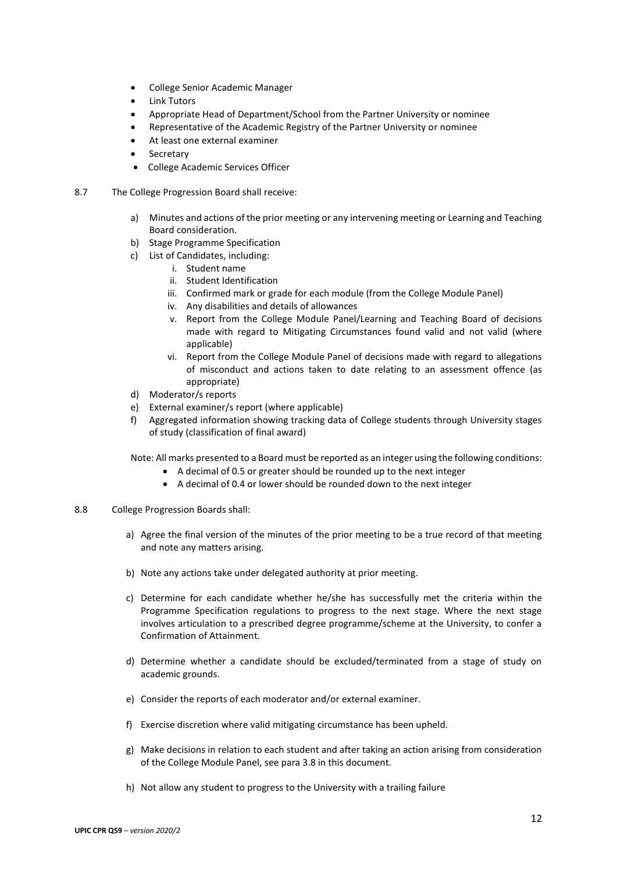- College Senior Academic Manager
- **Link Tutors**
- Appropriate Head of Department/School from the Partner University or nominee
- Representative of the Academic Registry of the Partner University or nominee
- At least one external examiner
- **Secretary**
- College Academic Services Officer
- 8.7 The College Progression Board shall receive:
	- a) Minutes and actions of the prior meeting or any intervening meeting or Learning and Teaching Board consideration.
	- b) Stage Programme Specification
	- c) List of Candidates, including:
		- i. Student name
		- ii. Student Identification
		- iii. Confirmed mark or grade for each module (from the College Module Panel)
		- iv. Any disabilities and details of allowances
		- v. Report from the College Module Panel/Learning and Teaching Board of decisions made with regard to Mitigating Circumstances found valid and not valid (where applicable)
		- vi. Report from the College Module Panel of decisions made with regard to allegations of misconduct and actions taken to date relating to an assessment offence (as appropriate)
	- d) Moderator/s reports
	- e) External examiner/s report (where applicable)
	- f) Aggregated information showing tracking data of College students through University stages of study (classification of final award)

Note: All marks presented to a Board must be reported as an integer using the following conditions:

- A decimal of 0.5 or greater should be rounded up to the next integer
- A decimal of 0.4 or lower should be rounded down to the next integer
- 8.8 College Progression Boards shall:
	- a) Agree the final version of the minutes of the prior meeting to be a true record of that meeting and note any matters arising.
	- b) Note any actions take under delegated authority at prior meeting.
	- c) Determine for each candidate whether he/she has successfully met the criteria within the Programme Specification regulations to progress to the next stage. Where the next stage involves articulation to a prescribed degree programme/scheme at the University, to confer a Confirmation of Attainment*.*
	- d) Determine whether a candidate should be excluded/terminated from a stage of study on academic grounds.
	- e) Consider the reports of each moderator and/or external examiner.
	- f) Exercise discretion where valid mitigating circumstance has been upheld.
	- g) Make decisions in relation to each student and after taking an action arising from consideration of the College Module Panel, see para 3.8 in this document.
	- h) Not allow any student to progress to the University with a trailing failure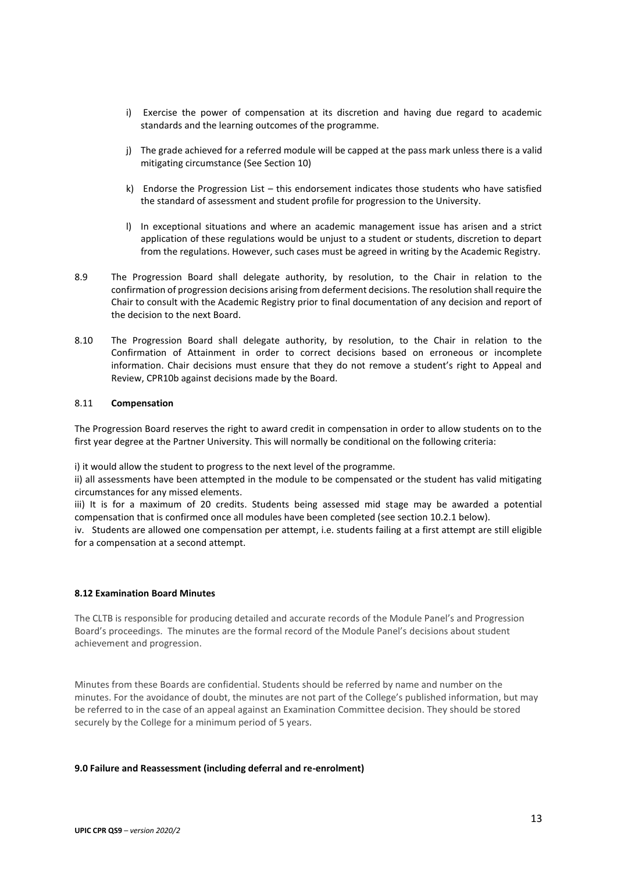- i) Exercise the power of compensation at its discretion and having due regard to academic standards and the learning outcomes of the programme.
- j) The grade achieved for a referred module will be capped at the pass mark unless there is a valid mitigating circumstance (See Section 10)
- k) Endorse the Progression List this endorsement indicates those students who have satisfied the standard of assessment and student profile for progression to the University.
- l) In exceptional situations and where an academic management issue has arisen and a strict application of these regulations would be unjust to a student or students, discretion to depart from the regulations. However, such cases must be agreed in writing by the Academic Registry.
- 8.9 The Progression Board shall delegate authority, by resolution, to the Chair in relation to the confirmation of progression decisions arising from deferment decisions. The resolution shall require the Chair to consult with the Academic Registry prior to final documentation of any decision and report of the decision to the next Board.
- 8.10 The Progression Board shall delegate authority, by resolution, to the Chair in relation to the Confirmation of Attainment in order to correct decisions based on erroneous or incomplete information. Chair decisions must ensure that they do not remove a student's right to Appeal and Review, CPR10b against decisions made by the Board.

### 8.11 **Compensation**

The Progression Board reserves the right to award credit in compensation in order to allow students on to the first year degree at the Partner University. This will normally be conditional on the following criteria:

i) it would allow the student to progress to the next level of the programme.

ii) all assessments have been attempted in the module to be compensated or the student has valid mitigating circumstances for any missed elements.

iii) It is for a maximum of 20 credits. Students being assessed mid stage may be awarded a potential compensation that is confirmed once all modules have been completed (see section 10.2.1 below).

iv. Students are allowed one compensation per attempt, i.e. students failing at a first attempt are still eligible for a compensation at a second attempt.

#### **8.12 Examination Board Minutes**

The CLTB is responsible for producing detailed and accurate records of the Module Panel's and Progression Board's proceedings. The minutes are the formal record of the Module Panel's decisions about student achievement and progression.

Minutes from these Boards are confidential. Students should be referred by name and number on the minutes. For the avoidance of doubt, the minutes are not part of the College's published information, but may be referred to in the case of an appeal against an Examination Committee decision. They should be stored securely by the College for a minimum period of 5 years.

#### **9.0 Failure and Reassessment (including deferral and re-enrolment)**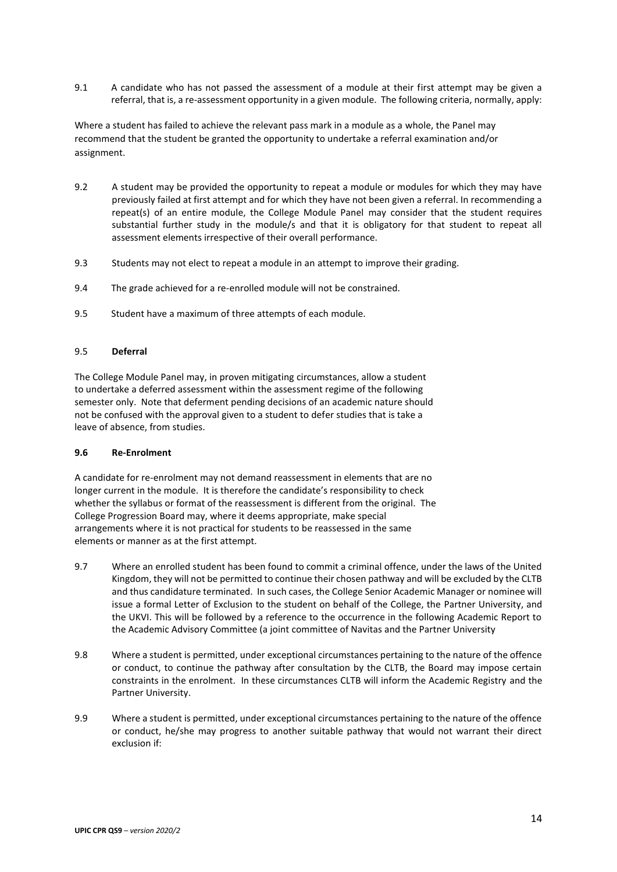9.1 A candidate who has not passed the assessment of a module at their first attempt may be given a referral, that is, a re-assessment opportunity in a given module. The following criteria, normally, apply:

Where a student has failed to achieve the relevant pass mark in a module as a whole, the Panel may recommend that the student be granted the opportunity to undertake a referral examination and/or assignment.

- 9.2 A student may be provided the opportunity to repeat a module or modules for which they may have previously failed at first attempt and for which they have not been given a referral. In recommending a repeat(s) of an entire module, the College Module Panel may consider that the student requires substantial further study in the module/s and that it is obligatory for that student to repeat all assessment elements irrespective of their overall performance.
- 9.3 Students may not elect to repeat a module in an attempt to improve their grading.
- 9.4 The grade achieved for a re-enrolled module will not be constrained.
- 9.5 Student have a maximum of three attempts of each module.

#### 9.5 **Deferral**

The College Module Panel may, in proven mitigating circumstances, allow a student to undertake a deferred assessment within the assessment regime of the following semester only. Note that deferment pending decisions of an academic nature should not be confused with the approval given to a student to defer studies that is take a leave of absence, from studies.

#### **9.6 Re-Enrolment**

A candidate for re-enrolment may not demand reassessment in elements that are no longer current in the module. It is therefore the candidate's responsibility to check whether the syllabus or format of the reassessment is different from the original. The College Progression Board may, where it deems appropriate, make special arrangements where it is not practical for students to be reassessed in the same elements or manner as at the first attempt.

- 9.7 Where an enrolled student has been found to commit a criminal offence, under the laws of the United Kingdom, they will not be permitted to continue their chosen pathway and will be excluded by the CLTB and thus candidature terminated. In such cases, the College Senior Academic Manager or nominee will issue a formal Letter of Exclusion to the student on behalf of the College, the Partner University, and the UKVI. This will be followed by a reference to the occurrence in the following Academic Report to the Academic Advisory Committee (a joint committee of Navitas and the Partner University
- 9.8 Where a student is permitted, under exceptional circumstances pertaining to the nature of the offence or conduct, to continue the pathway after consultation by the CLTB, the Board may impose certain constraints in the enrolment. In these circumstances CLTB will inform the Academic Registry and the Partner University.
- 9.9 Where a student is permitted, under exceptional circumstances pertaining to the nature of the offence or conduct, he/she may progress to another suitable pathway that would not warrant their direct exclusion if: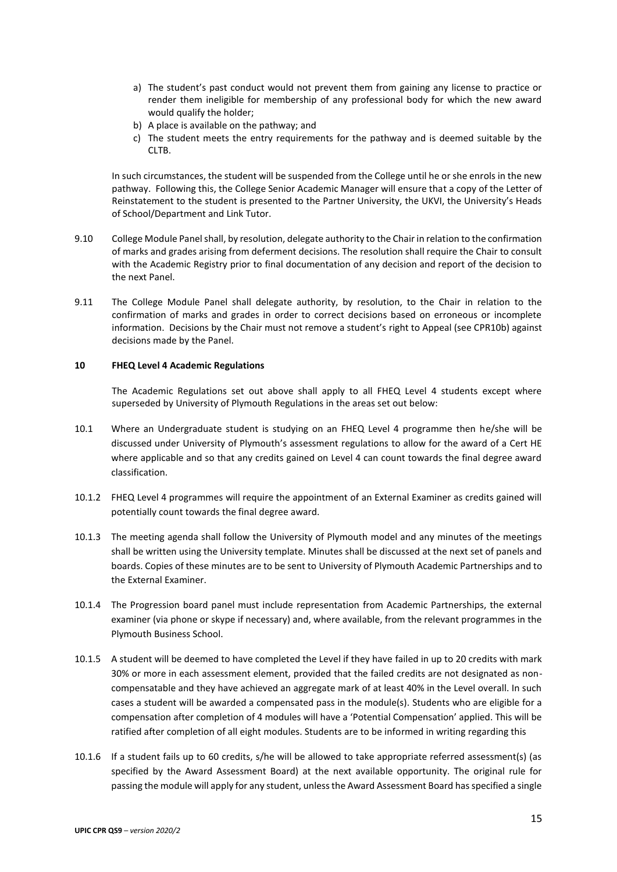- a) The student's past conduct would not prevent them from gaining any license to practice or render them ineligible for membership of any professional body for which the new award would qualify the holder;
- b) A place is available on the pathway; and
- c) The student meets the entry requirements for the pathway and is deemed suitable by the CLTB.

In such circumstances, the student will be suspended from the College until he or she enrols in the new pathway. Following this, the College Senior Academic Manager will ensure that a copy of the Letter of Reinstatement to the student is presented to the Partner University, the UKVI, the University's Heads of School/Department and Link Tutor.

- 9.10 College Module Panel shall, by resolution, delegate authority to the Chair in relation to the confirmation of marks and grades arising from deferment decisions. The resolution shall require the Chair to consult with the Academic Registry prior to final documentation of any decision and report of the decision to the next Panel.
- 9.11 The College Module Panel shall delegate authority, by resolution, to the Chair in relation to the confirmation of marks and grades in order to correct decisions based on erroneous or incomplete information. Decisions by the Chair must not remove a student's right to Appeal (see CPR10b) against decisions made by the Panel.

#### **10 FHEQ Level 4 Academic Regulations**

The Academic Regulations set out above shall apply to all FHEQ Level 4 students except where superseded by University of Plymouth Regulations in the areas set out below:

- 10.1 Where an Undergraduate student is studying on an FHEQ Level 4 programme then he/she will be discussed under University of Plymouth's assessment regulations to allow for the award of a Cert HE where applicable and so that any credits gained on Level 4 can count towards the final degree award classification.
- 10.1.2 FHEQ Level 4 programmes will require the appointment of an External Examiner as credits gained will potentially count towards the final degree award.
- 10.1.3 The meeting agenda shall follow the University of Plymouth model and any minutes of the meetings shall be written using the University template. Minutes shall be discussed at the next set of panels and boards. Copies of these minutes are to be sent to University of Plymouth Academic Partnerships and to the External Examiner.
- 10.1.4 The Progression board panel must include representation from Academic Partnerships, the external examiner (via phone or skype if necessary) and, where available, from the relevant programmes in the Plymouth Business School.
- 10.1.5 A student will be deemed to have completed the Level if they have failed in up to 20 credits with mark 30% or more in each assessment element, provided that the failed credits are not designated as noncompensatable and they have achieved an aggregate mark of at least 40% in the Level overall. In such cases a student will be awarded a compensated pass in the module(s). Students who are eligible for a compensation after completion of 4 modules will have a 'Potential Compensation' applied. This will be ratified after completion of all eight modules. Students are to be informed in writing regarding this
- 10.1.6 If a student fails up to 60 credits, s/he will be allowed to take appropriate referred assessment(s) (as specified by the Award Assessment Board) at the next available opportunity. The original rule for passing the module will apply for any student, unless the Award Assessment Board has specified a single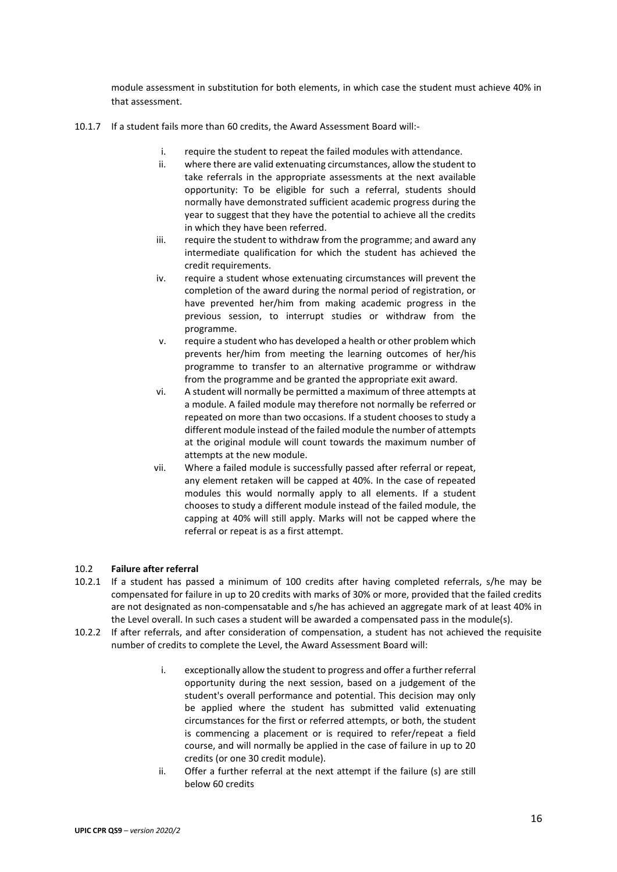module assessment in substitution for both elements, in which case the student must achieve 40% in that assessment.

- 10.1.7 If a student fails more than 60 credits, the Award Assessment Board will:
	- i. require the student to repeat the failed modules with attendance.<br>ii. where there are valid extenuating circumstances, allow the student
	- where there are valid extenuating circumstances, allow the student to take referrals in the appropriate assessments at the next available opportunity: To be eligible for such a referral, students should normally have demonstrated sufficient academic progress during the year to suggest that they have the potential to achieve all the credits in which they have been referred.
	- iii. require the student to withdraw from the programme; and award any intermediate qualification for which the student has achieved the credit requirements.
	- iv. require a student whose extenuating circumstances will prevent the completion of the award during the normal period of registration, or have prevented her/him from making academic progress in the previous session, to interrupt studies or withdraw from the programme.
	- v. require a student who has developed a health or other problem which prevents her/him from meeting the learning outcomes of her/his programme to transfer to an alternative programme or withdraw from the programme and be granted the appropriate exit award.
	- vi. A student will normally be permitted a maximum of three attempts at a module. A failed module may therefore not normally be referred or repeated on more than two occasions. If a student chooses to study a different module instead of the failed module the number of attempts at the original module will count towards the maximum number of attempts at the new module.
	- vii. Where a failed module is successfully passed after referral or repeat, any element retaken will be capped at 40%. In the case of repeated modules this would normally apply to all elements. If a student chooses to study a different module instead of the failed module, the capping at 40% will still apply. Marks will not be capped where the referral or repeat is as a first attempt.

## 10.2 **Failure after referral**

- 10.2.1 If a student has passed a minimum of 100 credits after having completed referrals, s/he may be compensated for failure in up to 20 credits with marks of 30% or more, provided that the failed credits are not designated as non-compensatable and s/he has achieved an aggregate mark of at least 40% in the Level overall. In such cases a student will be awarded a compensated pass in the module(s).
- 10.2.2 If after referrals, and after consideration of compensation, a student has not achieved the requisite number of credits to complete the Level, the Award Assessment Board will:
	- i. exceptionally allow the student to progress and offer a further referral opportunity during the next session, based on a judgement of the student's overall performance and potential. This decision may only be applied where the student has submitted valid extenuating circumstances for the first or referred attempts, or both, the student is commencing a placement or is required to refer/repeat a field course, and will normally be applied in the case of failure in up to 20 credits (or one 30 credit module).
	- ii. Offer a further referral at the next attempt if the failure (s) are still below 60 credits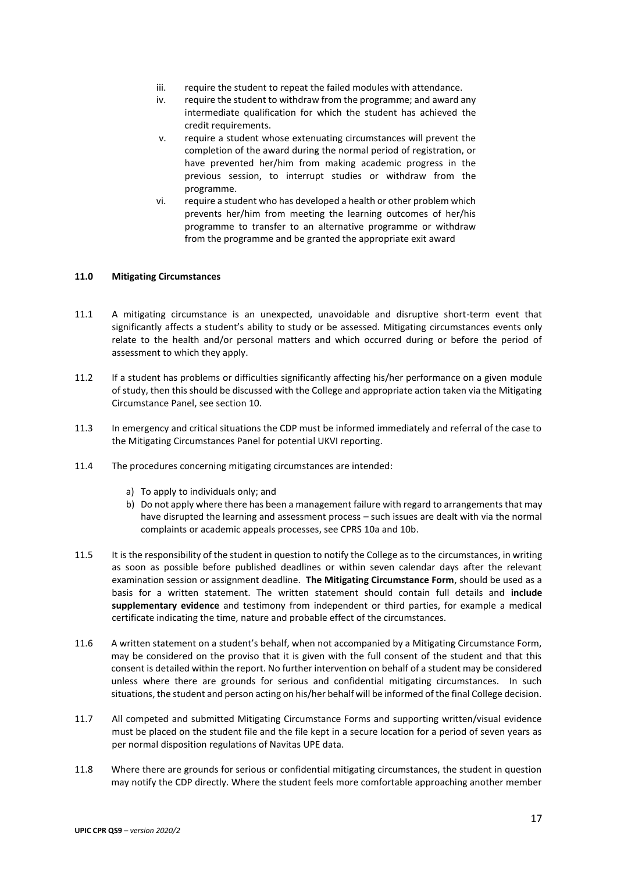- iii. require the student to repeat the failed modules with attendance.
- iv. require the student to withdraw from the programme; and award any intermediate qualification for which the student has achieved the credit requirements.
- v. require a student whose extenuating circumstances will prevent the completion of the award during the normal period of registration, or have prevented her/him from making academic progress in the previous session, to interrupt studies or withdraw from the programme.
- vi. require a student who has developed a health or other problem which prevents her/him from meeting the learning outcomes of her/his programme to transfer to an alternative programme or withdraw from the programme and be granted the appropriate exit award

### **11.0 Mitigating Circumstances**

- 11.1 A mitigating circumstance is an unexpected, unavoidable and disruptive short-term event that significantly affects a student's ability to study or be assessed. Mitigating circumstances events only relate to the health and/or personal matters and which occurred during or before the period of assessment to which they apply.
- 11.2 If a student has problems or difficulties significantly affecting his/her performance on a given module of study, then this should be discussed with the College and appropriate action taken via the Mitigating Circumstance Panel, see section 10.
- 11.3 In emergency and critical situations the CDP must be informed immediately and referral of the case to the Mitigating Circumstances Panel for potential UKVI reporting.
- 11.4 The procedures concerning mitigating circumstances are intended:
	- a) To apply to individuals only; and
	- b) Do not apply where there has been a management failure with regard to arrangements that may have disrupted the learning and assessment process – such issues are dealt with via the normal complaints or academic appeals processes, see CPRS 10a and 10b.
- 11.5 It is the responsibility of the student in question to notify the College as to the circumstances, in writing as soon as possible before published deadlines or within seven calendar days after the relevant examination session or assignment deadline. **The Mitigating Circumstance Form**, should be used as a basis for a written statement. The written statement should contain full details and **include supplementary evidence** and testimony from independent or third parties, for example a medical certificate indicating the time, nature and probable effect of the circumstances.
- 11.6 A written statement on a student's behalf, when not accompanied by a Mitigating Circumstance Form, may be considered on the proviso that it is given with the full consent of the student and that this consent is detailed within the report. No further intervention on behalf of a student may be considered unless where there are grounds for serious and confidential mitigating circumstances. In such situations, the student and person acting on his/her behalf will be informed of the final College decision.
- 11.7 All competed and submitted Mitigating Circumstance Forms and supporting written/visual evidence must be placed on the student file and the file kept in a secure location for a period of seven years as per normal disposition regulations of Navitas UPE data.
- 11.8 Where there are grounds for serious or confidential mitigating circumstances, the student in question may notify the CDP directly. Where the student feels more comfortable approaching another member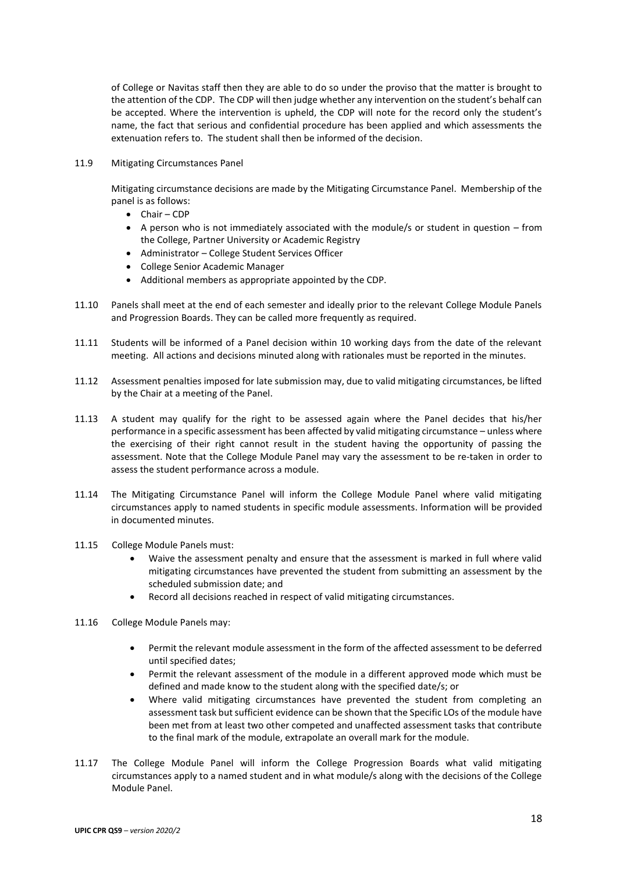of College or Navitas staff then they are able to do so under the proviso that the matter is brought to the attention of the CDP. The CDP will then judge whether any intervention on the student's behalf can be accepted. Where the intervention is upheld, the CDP will note for the record only the student's name, the fact that serious and confidential procedure has been applied and which assessments the extenuation refers to. The student shall then be informed of the decision.

11.9 Mitigating Circumstances Panel

Mitigating circumstance decisions are made by the Mitigating Circumstance Panel. Membership of the panel is as follows:

- Chair CDP
- A person who is not immediately associated with the module/s or student in question from the College, Partner University or Academic Registry
- Administrator College Student Services Officer
- College Senior Academic Manager
- Additional members as appropriate appointed by the CDP.
- 11.10 Panels shall meet at the end of each semester and ideally prior to the relevant College Module Panels and Progression Boards. They can be called more frequently as required.
- 11.11 Students will be informed of a Panel decision within 10 working days from the date of the relevant meeting. All actions and decisions minuted along with rationales must be reported in the minutes.
- 11.12 Assessment penalties imposed for late submission may, due to valid mitigating circumstances, be lifted by the Chair at a meeting of the Panel.
- 11.13 A student may qualify for the right to be assessed again where the Panel decides that his/her performance in a specific assessment has been affected by valid mitigating circumstance – unless where the exercising of their right cannot result in the student having the opportunity of passing the assessment. Note that the College Module Panel may vary the assessment to be re-taken in order to assess the student performance across a module.
- 11.14 The Mitigating Circumstance Panel will inform the College Module Panel where valid mitigating circumstances apply to named students in specific module assessments. Information will be provided in documented minutes.
- 11.15 College Module Panels must:
	- Waive the assessment penalty and ensure that the assessment is marked in full where valid mitigating circumstances have prevented the student from submitting an assessment by the scheduled submission date; and
	- Record all decisions reached in respect of valid mitigating circumstances.
- 11.16 College Module Panels may:
	- Permit the relevant module assessment in the form of the affected assessment to be deferred until specified dates;
	- Permit the relevant assessment of the module in a different approved mode which must be defined and made know to the student along with the specified date/s; or
	- Where valid mitigating circumstances have prevented the student from completing an assessment task but sufficient evidence can be shown that the Specific LOs of the module have been met from at least two other competed and unaffected assessment tasks that contribute to the final mark of the module, extrapolate an overall mark for the module.
- 11.17 The College Module Panel will inform the College Progression Boards what valid mitigating circumstances apply to a named student and in what module/s along with the decisions of the College Module Panel.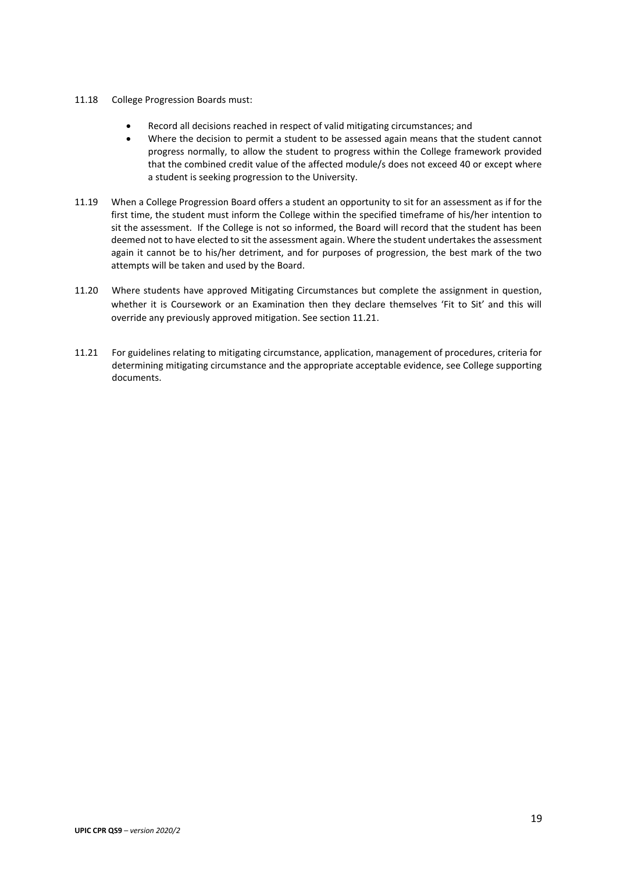- 11.18 College Progression Boards must:
	- Record all decisions reached in respect of valid mitigating circumstances; and
	- Where the decision to permit a student to be assessed again means that the student cannot progress normally, to allow the student to progress within the College framework provided that the combined credit value of the affected module/s does not exceed 40 or except where a student is seeking progression to the University.
- 11.19 When a College Progression Board offers a student an opportunity to sit for an assessment as if for the first time, the student must inform the College within the specified timeframe of his/her intention to sit the assessment. If the College is not so informed, the Board will record that the student has been deemed not to have elected to sit the assessment again. Where the student undertakes the assessment again it cannot be to his/her detriment, and for purposes of progression, the best mark of the two attempts will be taken and used by the Board.
- 11.20 Where students have approved Mitigating Circumstances but complete the assignment in question, whether it is Coursework or an Examination then they declare themselves 'Fit to Sit' and this will override any previously approved mitigation. See section 11.21.
- 11.21 For guidelines relating to mitigating circumstance, application, management of procedures, criteria for determining mitigating circumstance and the appropriate acceptable evidence, see College supporting documents.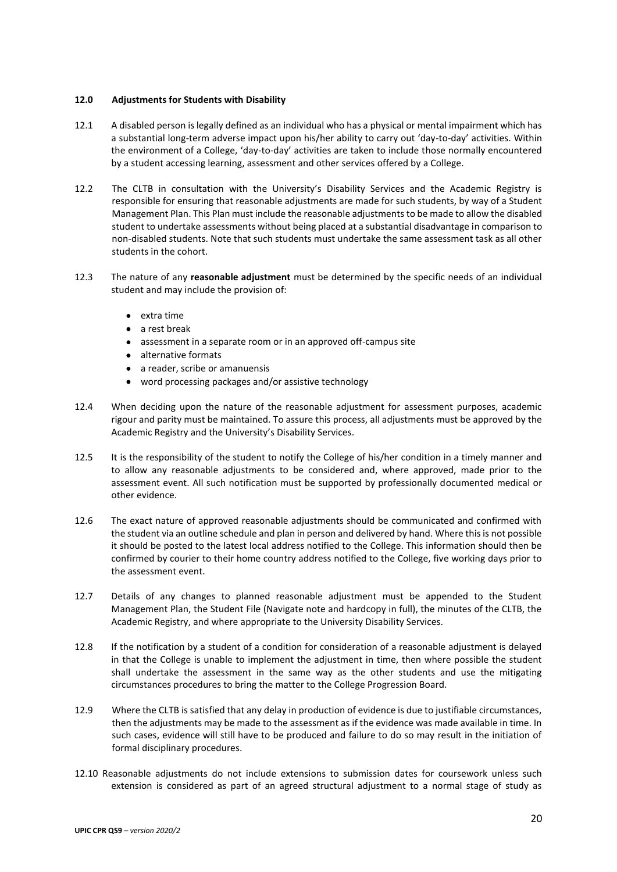## **12.0 Adjustments for Students with Disability**

- 12.1 A disabled person is legally defined as an individual who has a physical or mental impairment which has a substantial long-term adverse impact upon his/her ability to carry out 'day-to-day' activities. Within the environment of a College, 'day-to-day' activities are taken to include those normally encountered by a student accessing learning, assessment and other services offered by a College.
- 12.2 The CLTB in consultation with the University's Disability Services and the Academic Registry is responsible for ensuring that reasonable adjustments are made for such students, by way of a Student Management Plan. This Plan must include the reasonable adjustments to be made to allow the disabled student to undertake assessments without being placed at a substantial disadvantage in comparison to non-disabled students. Note that such students must undertake the same assessment task as all other students in the cohort.
- 12.3 The nature of any **reasonable adjustment** must be determined by the specific needs of an individual student and may include the provision of:
	- extra time
	- a rest break
	- assessment in a separate room or in an approved off-campus site
	- alternative formats
	- a reader, scribe or amanuensis
	- word processing packages and/or assistive technology
- 12.4 When deciding upon the nature of the reasonable adjustment for assessment purposes, academic rigour and parity must be maintained. To assure this process, all adjustments must be approved by the Academic Registry and the University's Disability Services.
- 12.5 It is the responsibility of the student to notify the College of his/her condition in a timely manner and to allow any reasonable adjustments to be considered and, where approved, made prior to the assessment event. All such notification must be supported by professionally documented medical or other evidence.
- 12.6 The exact nature of approved reasonable adjustments should be communicated and confirmed with the student via an outline schedule and plan in person and delivered by hand. Where this is not possible it should be posted to the latest local address notified to the College. This information should then be confirmed by courier to their home country address notified to the College, five working days prior to the assessment event.
- 12.7 Details of any changes to planned reasonable adjustment must be appended to the Student Management Plan, the Student File (Navigate note and hardcopy in full), the minutes of the CLTB, the Academic Registry, and where appropriate to the University Disability Services.
- 12.8 If the notification by a student of a condition for consideration of a reasonable adjustment is delayed in that the College is unable to implement the adjustment in time, then where possible the student shall undertake the assessment in the same way as the other students and use the mitigating circumstances procedures to bring the matter to the College Progression Board.
- 12.9 Where the CLTB is satisfied that any delay in production of evidence is due to justifiable circumstances, then the adjustments may be made to the assessment as if the evidence was made available in time. In such cases, evidence will still have to be produced and failure to do so may result in the initiation of formal disciplinary procedures.
- 12.10 Reasonable adjustments do not include extensions to submission dates for coursework unless such extension is considered as part of an agreed structural adjustment to a normal stage of study as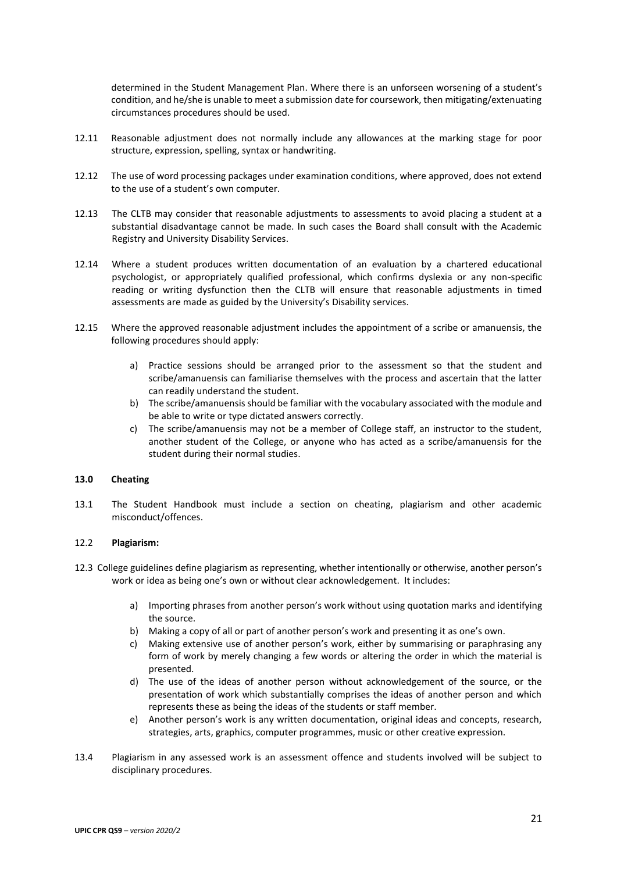determined in the Student Management Plan. Where there is an unforseen worsening of a student's condition, and he/she is unable to meet a submission date for coursework, then mitigating/extenuating circumstances procedures should be used.

- 12.11 Reasonable adjustment does not normally include any allowances at the marking stage for poor structure, expression, spelling, syntax or handwriting.
- 12.12 The use of word processing packages under examination conditions, where approved, does not extend to the use of a student's own computer.
- 12.13 The CLTB may consider that reasonable adjustments to assessments to avoid placing a student at a substantial disadvantage cannot be made. In such cases the Board shall consult with the Academic Registry and University Disability Services.
- 12.14 Where a student produces written documentation of an evaluation by a chartered educational psychologist, or appropriately qualified professional, which confirms dyslexia or any non-specific reading or writing dysfunction then the CLTB will ensure that reasonable adjustments in timed assessments are made as guided by the University's Disability services.
- 12.15 Where the approved reasonable adjustment includes the appointment of a scribe or amanuensis, the following procedures should apply:
	- a) Practice sessions should be arranged prior to the assessment so that the student and scribe/amanuensis can familiarise themselves with the process and ascertain that the latter can readily understand the student.
	- b) The scribe/amanuensis should be familiar with the vocabulary associated with the module and be able to write or type dictated answers correctly.
	- c) The scribe/amanuensis may not be a member of College staff, an instructor to the student, another student of the College, or anyone who has acted as a scribe/amanuensis for the student during their normal studies.

#### **13.0 Cheating**

13.1 The Student Handbook must include a section on cheating, plagiarism and other academic misconduct/offences.

### 12.2 **Plagiarism:**

- 12.3 College guidelines define plagiarism as representing, whether intentionally or otherwise, another person's work or idea as being one's own or without clear acknowledgement. It includes:
	- a) Importing phrases from another person's work without using quotation marks and identifying the source.
	- b) Making a copy of all or part of another person's work and presenting it as one's own.
	- c) Making extensive use of another person's work, either by summarising or paraphrasing any form of work by merely changing a few words or altering the order in which the material is presented.
	- d) The use of the ideas of another person without acknowledgement of the source, or the presentation of work which substantially comprises the ideas of another person and which represents these as being the ideas of the students or staff member.
	- e) Another person's work is any written documentation, original ideas and concepts, research, strategies, arts, graphics, computer programmes, music or other creative expression.
- 13.4 Plagiarism in any assessed work is an assessment offence and students involved will be subject to disciplinary procedures.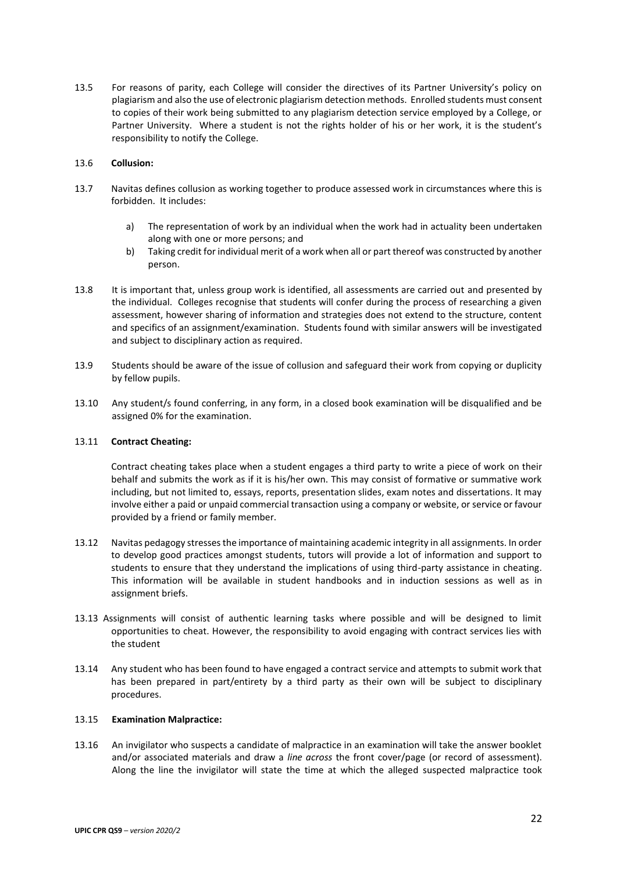13.5 For reasons of parity, each College will consider the directives of its Partner University's policy on plagiarism and also the use of electronic plagiarism detection methods. Enrolled students must consent to copies of their work being submitted to any plagiarism detection service employed by a College, or Partner University. Where a student is not the rights holder of his or her work, it is the student's responsibility to notify the College.

## 13.6 **Collusion:**

- 13.7 Navitas defines collusion as working together to produce assessed work in circumstances where this is forbidden. It includes:
	- a) The representation of work by an individual when the work had in actuality been undertaken along with one or more persons; and
	- b) Taking credit for individual merit of a work when all or part thereof was constructed by another person.
- 13.8 It is important that, unless group work is identified, all assessments are carried out and presented by the individual. Colleges recognise that students will confer during the process of researching a given assessment, however sharing of information and strategies does not extend to the structure, content and specifics of an assignment/examination. Students found with similar answers will be investigated and subject to disciplinary action as required.
- 13.9 Students should be aware of the issue of collusion and safeguard their work from copying or duplicity by fellow pupils.
- 13.10 Any student/s found conferring, in any form, in a closed book examination will be disqualified and be assigned 0% for the examination.

## 13.11 **Contract Cheating:**

Contract cheating takes place when a student engages a third party to write a piece of work on their behalf and submits the work as if it is his/her own. This may consist of formative or summative work including, but not limited to, essays, reports, presentation slides, exam notes and dissertations. It may involve either a paid or unpaid commercial transaction using a company or website, or service or favour provided by a friend or family member.

- 13.12 Navitas pedagogy stresses the importance of maintaining academic integrity in all assignments. In order to develop good practices amongst students, tutors will provide a lot of information and support to students to ensure that they understand the implications of using third-party assistance in cheating. This information will be available in student handbooks and in induction sessions as well as in assignment briefs.
- 13.13 Assignments will consist of authentic learning tasks where possible and will be designed to limit opportunities to cheat. However, the responsibility to avoid engaging with contract services lies with the student
- 13.14 Any student who has been found to have engaged a contract service and attempts to submit work that has been prepared in part/entirety by a third party as their own will be subject to disciplinary procedures.

## 13.15 **Examination Malpractice:**

13.16 An invigilator who suspects a candidate of malpractice in an examination will take the answer booklet and/or associated materials and draw a *line across* the front cover/page (or record of assessment). Along the line the invigilator will state the time at which the alleged suspected malpractice took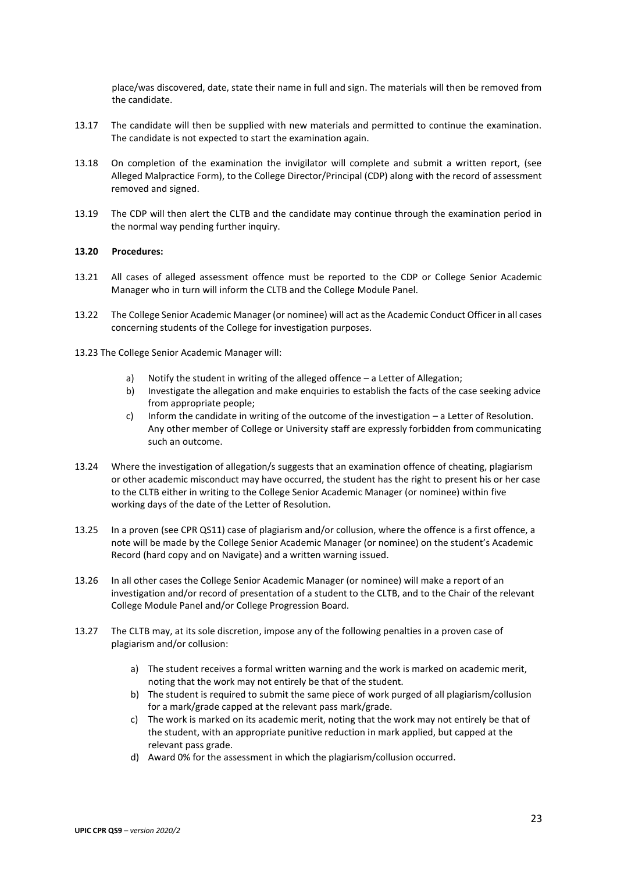place/was discovered, date, state their name in full and sign. The materials will then be removed from the candidate.

- 13.17 The candidate will then be supplied with new materials and permitted to continue the examination. The candidate is not expected to start the examination again.
- 13.18 On completion of the examination the invigilator will complete and submit a written report, (see Alleged Malpractice Form), to the College Director/Principal (CDP) along with the record of assessment removed and signed.
- 13.19 The CDP will then alert the CLTB and the candidate may continue through the examination period in the normal way pending further inquiry.

### **13.20 Procedures:**

- 13.21 All cases of alleged assessment offence must be reported to the CDP or College Senior Academic Manager who in turn will inform the CLTB and the College Module Panel.
- 13.22 The College Senior Academic Manager (or nominee) will act as the Academic Conduct Officer in all cases concerning students of the College for investigation purposes.
- 13.23 The College Senior Academic Manager will:
	- a) Notify the student in writing of the alleged offence a Letter of Allegation;
	- b) Investigate the allegation and make enquiries to establish the facts of the case seeking advice from appropriate people;
	- c) Inform the candidate in writing of the outcome of the investigation a Letter of Resolution. Any other member of College or University staff are expressly forbidden from communicating such an outcome.
- 13.24 Where the investigation of allegation/s suggests that an examination offence of cheating, plagiarism or other academic misconduct may have occurred, the student has the right to present his or her case to the CLTB either in writing to the College Senior Academic Manager (or nominee) within five working days of the date of the Letter of Resolution.
- 13.25 In a proven (see CPR QS11) case of plagiarism and/or collusion, where the offence is a first offence, a note will be made by the College Senior Academic Manager (or nominee) on the student's Academic Record (hard copy and on Navigate) and a written warning issued.
- 13.26 In all other cases the College Senior Academic Manager (or nominee) will make a report of an investigation and/or record of presentation of a student to the CLTB, and to the Chair of the relevant College Module Panel and/or College Progression Board.
- 13.27 The CLTB may, at its sole discretion, impose any of the following penalties in a proven case of plagiarism and/or collusion:
	- a) The student receives a formal written warning and the work is marked on academic merit, noting that the work may not entirely be that of the student.
	- b) The student is required to submit the same piece of work purged of all plagiarism/collusion for a mark/grade capped at the relevant pass mark/grade.
	- c) The work is marked on its academic merit, noting that the work may not entirely be that of the student, with an appropriate punitive reduction in mark applied, but capped at the relevant pass grade.
	- d) Award 0% for the assessment in which the plagiarism/collusion occurred.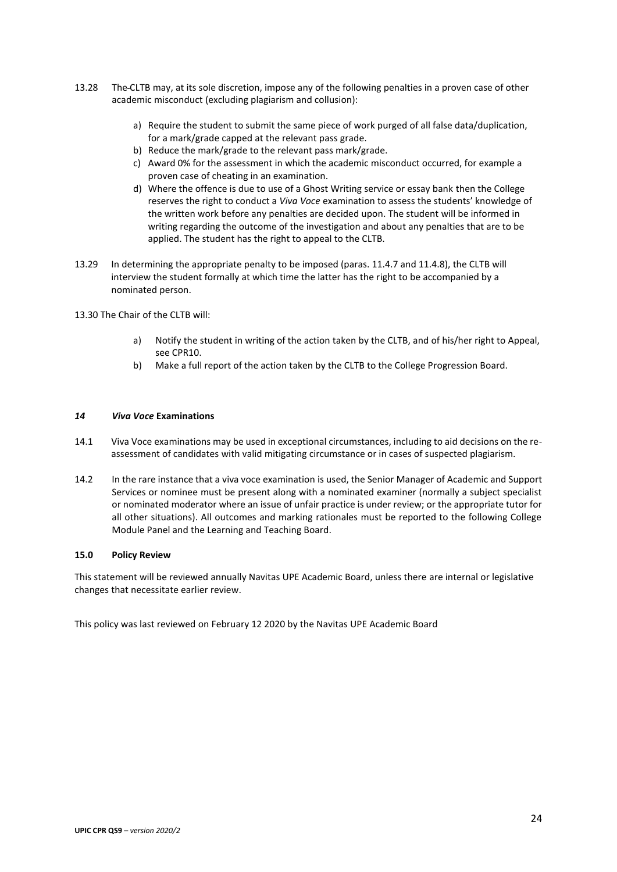- 13.28 The CLTB may, at its sole discretion, impose any of the following penalties in a proven case of other academic misconduct (excluding plagiarism and collusion):
	- a) Require the student to submit the same piece of work purged of all false data/duplication, for a mark/grade capped at the relevant pass grade.
	- b) Reduce the mark/grade to the relevant pass mark/grade.
	- c) Award 0% for the assessment in which the academic misconduct occurred, for example a proven case of cheating in an examination.
	- d) Where the offence is due to use of a Ghost Writing service or essay bank then the College reserves the right to conduct a *Viva Voce* examination to assess the students' knowledge of the written work before any penalties are decided upon. The student will be informed in writing regarding the outcome of the investigation and about any penalties that are to be applied. The student has the right to appeal to the CLTB.
- 13.29 In determining the appropriate penalty to be imposed (paras. 11.4.7 and 11.4.8), the CLTB will interview the student formally at which time the latter has the right to be accompanied by a nominated person.

13.30 The Chair of the CLTB will:

- a) Notify the student in writing of the action taken by the CLTB, and of his/her right to Appeal, see CPR10.
- b) Make a full report of the action taken by the CLTB to the College Progression Board.

### *14 Viva Voce* **Examinations**

- 14.1 Viva Voce examinations may be used in exceptional circumstances, including to aid decisions on the reassessment of candidates with valid mitigating circumstance or in cases of suspected plagiarism.
- 14.2 In the rare instance that a viva voce examination is used, the Senior Manager of Academic and Support Services or nominee must be present along with a nominated examiner (normally a subject specialist or nominated moderator where an issue of unfair practice is under review; or the appropriate tutor for all other situations). All outcomes and marking rationales must be reported to the following College Module Panel and the Learning and Teaching Board.

#### **15.0 Policy Review**

This statement will be reviewed annually Navitas UPE Academic Board, unless there are internal or legislative changes that necessitate earlier review.

This policy was last reviewed on February 12 2020 by the Navitas UPE Academic Board